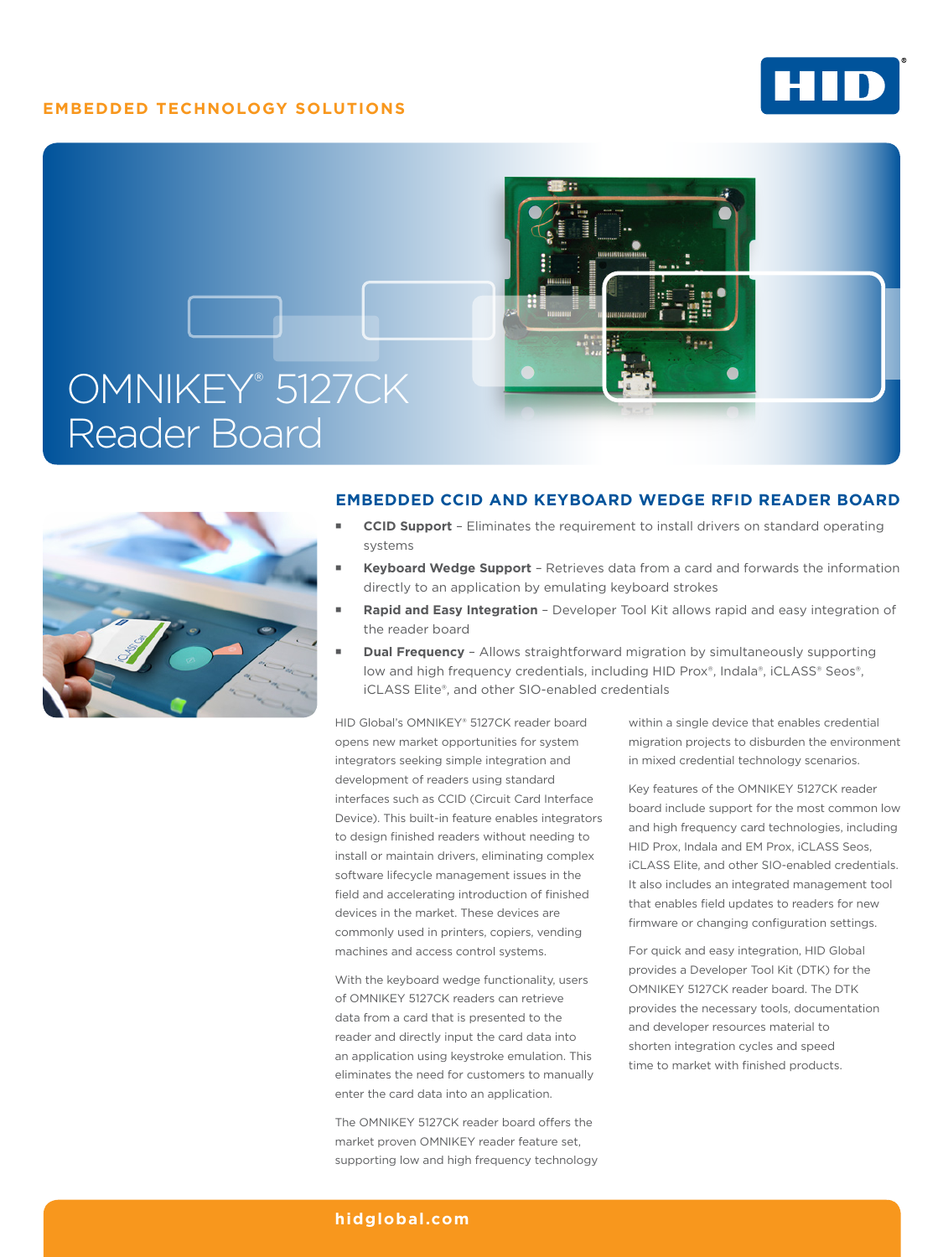# **EMBEDDED TECHNOLOGY SOLUTIONS**







## **EMBEDDED CCID AND KEYBOARD WEDGE RFID READER BOARD**

- **CCID Support** Eliminates the requirement to install drivers on standard operating systems
- **Keyboard Wedge Support** Retrieves data from a card and forwards the information directly to an application by emulating keyboard strokes
- **Rapid and Easy Integration** Developer Tool Kit allows rapid and easy integration of the reader board
- **Dual Frequency**  Allows straightforward migration by simultaneously supporting low and high frequency credentials, including HID Prox®, Indala®, iCLASS® Seos®, iCLASS Elite®, and other SIO-enabled credentials

HID Global's OMNIKEY® 5127CK reader board opens new market opportunities for system integrators seeking simple integration and development of readers using standard interfaces such as CCID (Circuit Card Interface Device). This built-in feature enables integrators to design finished readers without needing to install or maintain drivers, eliminating complex software lifecycle management issues in the field and accelerating introduction of finished devices in the market. These devices are commonly used in printers, copiers, vending machines and access control systems.

With the keyboard wedge functionality, users of OMNIKEY 5127CK readers can retrieve data from a card that is presented to the reader and directly input the card data into an application using keystroke emulation. This eliminates the need for customers to manually enter the card data into an application.

The OMNIKEY 5127CK reader board offers the market proven OMNIKEY reader feature set, supporting low and high frequency technology within a single device that enables credential migration projects to disburden the environment in mixed credential technology scenarios.

Key features of the OMNIKEY 5127CK reader board include support for the most common low and high frequency card technologies, including HID Prox, Indala and EM Prox, iCLASS Seos, iCLASS Elite, and other SIO-enabled credentials. It also includes an integrated management tool that enables field updates to readers for new firmware or changing configuration settings.

For quick and easy integration, HID Global provides a Developer Tool Kit (DTK) for the OMNIKEY 5127CK reader board. The DTK provides the necessary tools, documentation and developer resources material to shorten integration cycles and speed time to market with finished products.

## **[hidglobal.com](http://www.hidglobal.com)**